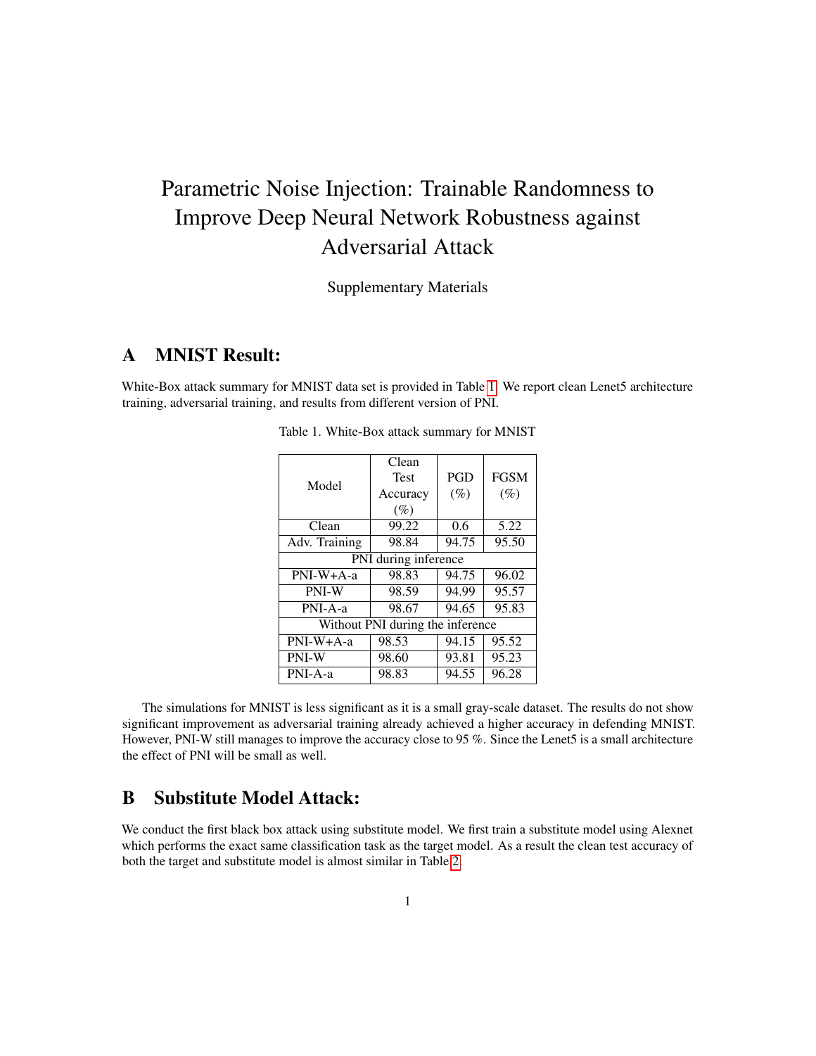## Parametric Noise Injection: Trainable Randomness to Improve Deep Neural Network Robustness against Adversarial Attack

Supplementary Materials

## A MNIST Result:

<span id="page-0-0"></span>White-Box attack summary for MNIST data set is provided in Table [1.](#page-0-0) We report clean Lenet5 architecture training, adversarial training, and results from different version of PNI.

| Model                            | Clean       |            |             |  |
|----------------------------------|-------------|------------|-------------|--|
|                                  | <b>Test</b> | <b>PGD</b> | <b>FGSM</b> |  |
|                                  | Accuracy    | $(\%)$     | $(\%)$      |  |
|                                  | $(\%)$      |            |             |  |
| Clean                            | 99.22       | 0.6        | 5.22        |  |
| Adv. Training                    | 98.84       | 94.75      | 95.50       |  |
| PNI during inference             |             |            |             |  |
| PNI-W+A-a                        | 98.83       | 94.75      | 96.02       |  |
| PNI-W                            | 98.59       | 94.99      | 95.57       |  |
| PNI-A-a                          | 98.67       | 94.65      | 95.83       |  |
| Without PNI during the inference |             |            |             |  |
| PNI-W+A-a                        | 98.53       | 94.15      | 95.52       |  |
| PNI-W                            | 98.60       | 93.81      | 95.23       |  |
| PNI-A-a                          | 98.83       | 94.55      | 96.28       |  |

Table 1. White-Box attack summary for MNIST

The simulations for MNIST is less significant as it is a small gray-scale dataset. The results do not show significant improvement as adversarial training already achieved a higher accuracy in defending MNIST. However, PNI-W still manages to improve the accuracy close to 95 %. Since the Lenet5 is a small architecture the effect of PNI will be small as well.

## B Substitute Model Attack:

We conduct the first black box attack using substitute model. We first train a substitute model using Alexnet which performs the exact same classification task as the target model. As a result the clean test accuracy of both the target and substitute model is almost similar in Table [2.](#page-1-0)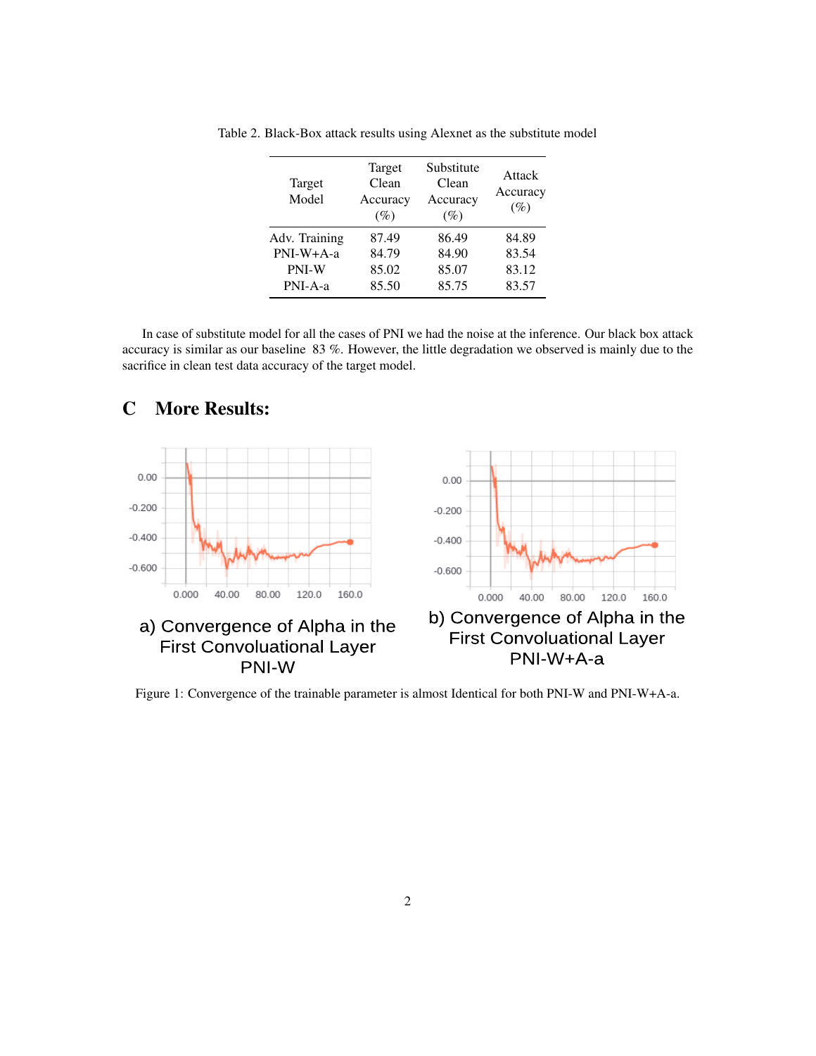| Target<br>Model | Target<br>Clean<br>Accuracy<br>$(\%)$ | Substitute<br>Clean<br>Accuracy<br>$(\%)$ | Attack<br>Accuracy<br>$(\%)$ |
|-----------------|---------------------------------------|-------------------------------------------|------------------------------|
| Adv. Training   | 87.49                                 | 86.49                                     | 84.89                        |
| PNI-W+A-a       | 84.79                                 | 84.90                                     | 83.54                        |
| PNI-W           | 85.02                                 | 85.07                                     | 83.12                        |
| $PNI-A-a$       | 85.50                                 | 85.75                                     | 83.57                        |

<span id="page-1-0"></span>Table 2. Black-Box attack results using Alexnet as the substitute model

In case of substitute model for all the cases of PNI we had the noise at the inference. Our black box attack accuracy is similar as our baseline 83 %. However, the little degradation we observed is mainly due to the sacrifice in clean test data accuracy of the target model.



## C More Results:

Figure 1: Convergence of the trainable parameter is almost Identical for both PNI-W and PNI-W+A-a.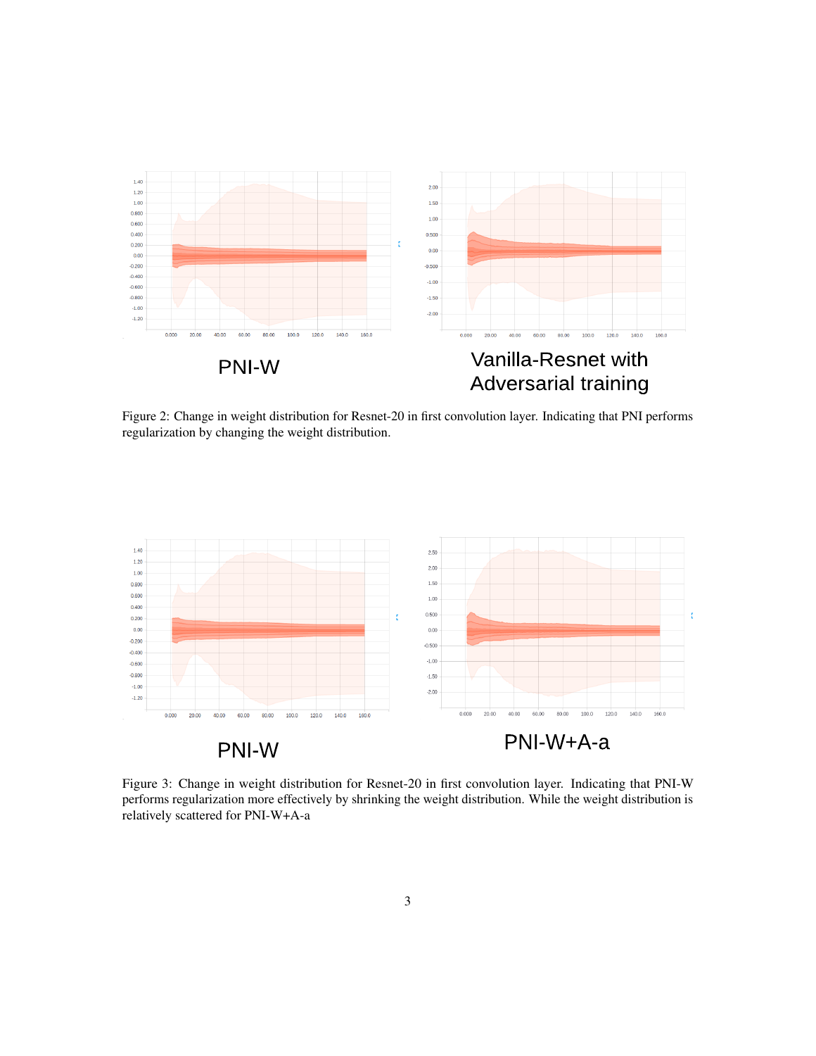

Figure 2: Change in weight distribution for Resnet-20 in first convolution layer. Indicating that PNI performs regularization by changing the weight distribution.



Figure 3: Change in weight distribution for Resnet-20 in first convolution layer. Indicating that PNI-W performs regularization more effectively by shrinking the weight distribution. While the weight distribution is relatively scattered for PNI-W+A-a